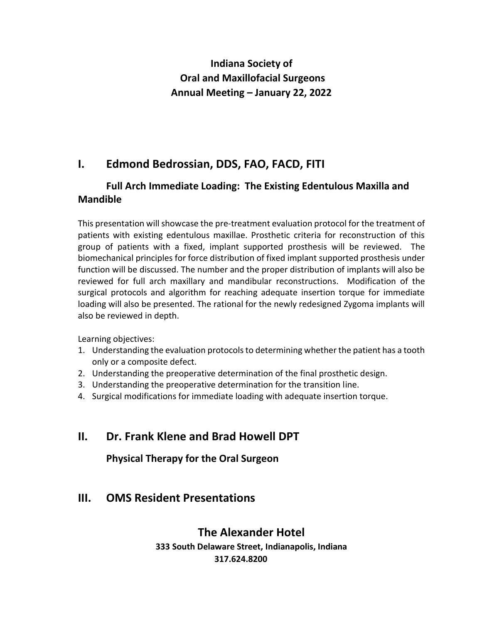# **Indiana Society of Oral and Maxillofacial Surgeons Annual Meeting – January 22, 2022**

# **I. Edmond Bedrossian, DDS, FAO, FACD, FITI**

#### **Full Arch Immediate Loading: The Existing Edentulous Maxilla and Mandible**

This presentation will showcase the pre-treatment evaluation protocol for the treatment of patients with existing edentulous maxillae. Prosthetic criteria for reconstruction of this group of patients with a fixed, implant supported prosthesis will be reviewed. The biomechanical principles for force distribution of fixed implant supported prosthesis under function will be discussed. The number and the proper distribution of implants will also be reviewed for full arch maxillary and mandibular reconstructions. Modification of the surgical protocols and algorithm for reaching adequate insertion torque for immediate loading will also be presented. The rational for the newly redesigned Zygoma implants will also be reviewed in depth.

Learning objectives:

- 1. Understanding the evaluation protocols to determining whether the patient has a tooth only or a composite defect.
- 2. Understanding the preoperative determination of the final prosthetic design.
- 3. Understanding the preoperative determination for the transition line.
- 4. Surgical modifications for immediate loading with adequate insertion torque.

## **II. Dr. Frank Klene and Brad Howell DPT**

**Physical Therapy for the Oral Surgeon**

## **III. OMS Resident Presentations**

### **The Alexander Hotel**

**333 South Delaware Street, Indianapolis, Indiana 317.624.8200**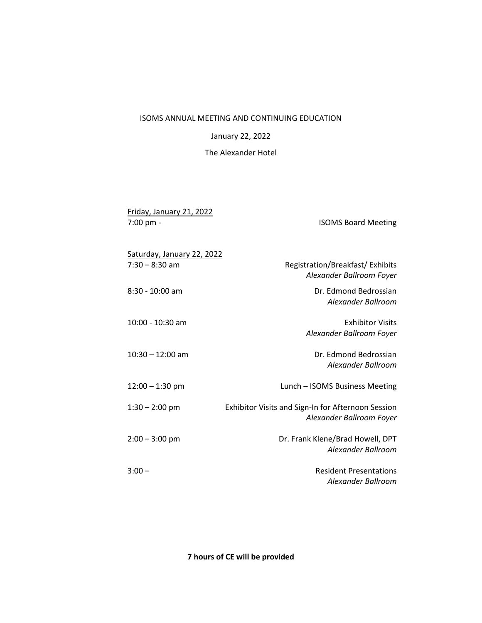#### ISOMS ANNUAL MEETING AND CONTINUING EDUCATION

January 22, 2022

The Alexander Hotel

| Friday, January 21, 2022<br>7:00 pm -          | <b>ISOMS Board Meeting</b>                                                     |
|------------------------------------------------|--------------------------------------------------------------------------------|
| Saturday, January 22, 2022<br>$7:30 - 8:30$ am | Registration/Breakfast/Exhibits<br>Alexander Ballroom Foyer                    |
| $8:30 - 10:00$ am                              | Dr. Edmond Bedrossian<br>Alexander Ballroom                                    |
| $10:00 - 10:30$ am                             | <b>Exhibitor Visits</b><br>Alexander Ballroom Foyer                            |
| $10:30 - 12:00$ am                             | Dr. Edmond Bedrossian<br>Alexander Ballroom                                    |
| $12:00 - 1:30$ pm                              | Lunch - ISOMS Business Meeting                                                 |
| $1:30 - 2:00$ pm                               | Exhibitor Visits and Sign-In for Afternoon Session<br>Alexander Ballroom Foyer |
| $2:00 - 3:00$ pm                               | Dr. Frank Klene/Brad Howell, DPT<br>Alexander Ballroom                         |
| $3:00 -$                                       | <b>Resident Presentations</b><br>Alexander Ballroom                            |

**7 hours of CE will be provided**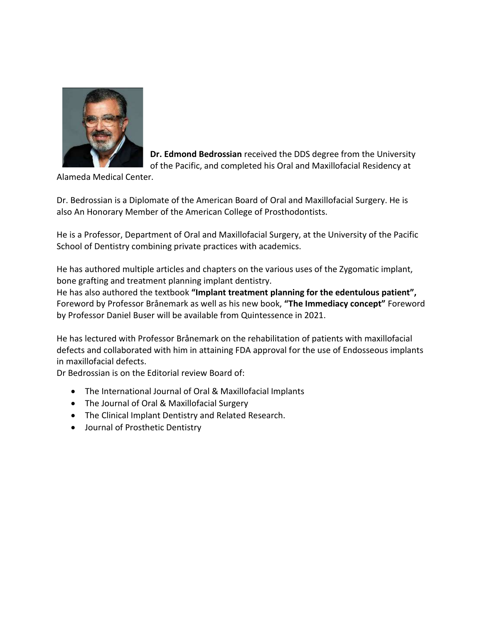

**Dr. Edmond Bedrossian** received the DDS degree from the University of the Pacific, and completed his Oral and Maxillofacial Residency at

Alameda Medical Center.

Dr. Bedrossian is a Diplomate of the American Board of Oral and Maxillofacial Surgery. He is also An Honorary Member of the American College of Prosthodontists.

He is a Professor, Department of Oral and Maxillofacial Surgery, at the University of the Pacific School of Dentistry combining private practices with academics.

He has authored multiple articles and chapters on the various uses of the Zygomatic implant, bone grafting and treatment planning implant dentistry.

He has also authored the textbook **"Implant treatment planning for the edentulous patient",** Foreword by Professor Brånemark as well as his new book, **"The Immediacy concept"** Foreword by Professor Daniel Buser will be available from Quintessence in 2021.

He has lectured with Professor Brånemark on the rehabilitation of patients with maxillofacial defects and collaborated with him in attaining FDA approval for the use of Endosseous implants in maxillofacial defects.

Dr Bedrossian is on the Editorial review Board of:

- The International Journal of Oral & Maxillofacial Implants
- The Journal of Oral & Maxillofacial Surgery
- The Clinical Implant Dentistry and Related Research.
- Journal of Prosthetic Dentistry